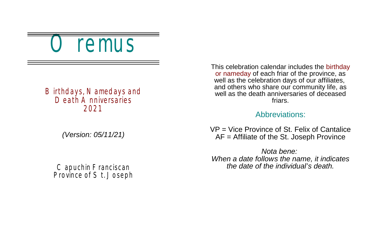remus

### Birthdays, Namedays and Death Anniversaries 2021

*(Version: 05/11/21)*

Capuchin Franciscan Province of St. Joseph This celebration calendar includes the birthday or nameday of each friar of the province, as well as the celebration days of our affiliates, and others who share our community life, as well as the death anniversaries of deceased friars.

#### Abbreviations:

VP = Vice Province of St. Felix of Cantalice AF = Affiliate of the St. Joseph Province

*Nota bene: When a date follows the name, it indicates the date of the individual's death.*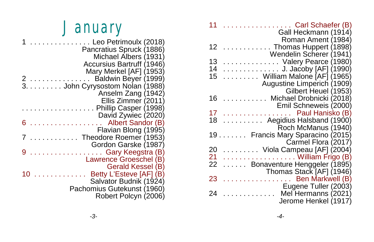| 11<br>Carl Schaefer (B)<br>Gall Heckmann (1914)            |
|------------------------------------------------------------|
| Roman Ament (1984)                                         |
| Thomas Huppert (1898)<br>12                                |
| Wendelin Scherer (1941)                                    |
| 13<br>Valery Pearce (1980)                                 |
| 14<br>. J. Jacoby [AF] (1990)                              |
| $\ldots$ William Malone [AF] (1965)<br>15                  |
| Augustine Limperich (1909)                                 |
| Gilbert Heuel (1953)                                       |
| 16<br>Michael Drobnicki (2018)<br><b>College</b>           |
| Emil Schneweis (2000)                                      |
| 17<br>Paul Hanisko (B)<br>and a straightful and a straight |
| $\ldots \ldots \ldots$ Aegidius Halsband (1900)<br>18      |
| Roch McManus (1940)                                        |
| 19.<br>Francis Mary Sparacino (2015)                       |
| Carmel Flora (2017)                                        |
| 20<br>. Viola Campeau [AF] (2004)                          |
| 21<br>William Frigo (B)                                    |
| 22<br>Bonaventure Henggeler (1895)                         |
| Thomas Stack [AF] (1946)                                   |
| Ben Markwell (B)<br>23<br>a da da da da da d               |
| Eugene Tuller (2003)                                       |
| Mel Hermanns (2021)<br>$\mathbf{r}$<br>24                  |
| Jerome Henkel (1917)                                       |

# **January**

|   | Leo Petrimoulx (2018)            |
|---|----------------------------------|
|   | Pancratius Spruck (1886)         |
|   | Michael Albers (1931)            |
|   | <b>Accursius Bartruff (1946)</b> |
|   | Mary Merkel [AF] (1953)          |
|   | Baldwin Beyer (1999)             |
|   | 3. John Cyrysostom Nolan (1988)  |
|   | Anselm Zang (1942)               |
|   | Ellis Zimmer (2011)              |
|   | Phillip Casper (1998)            |
|   | David Zywiec (2020)              |
| 6 | Albert Sandor (B)                |
|   | Flavian Blong (1995)             |
|   | Theodore Roemer (1953)           |
|   | Gordon Garske (1987)             |
|   | $\ldots$ Gary Keegstra (B)       |
|   | Lawrence Groeschel (B)           |
|   | Gerald Kessel (B)                |
|   | Betty L'Esteve [AF] (B)          |
|   | Salvator Budnik (1924)           |
|   | Pachomius Gutekunst (1960)       |
|   | Robert Polcyn (2006)             |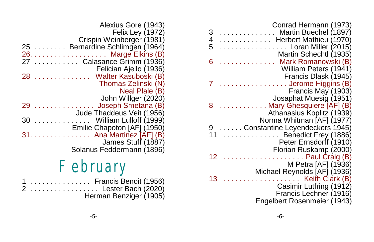| Conrad Hermann (1973)<br>Martin Buechel (1897)<br>3<br>4<br>5<br>Herbert Mathieu (1970)<br>$\ldots \ldots$ . Loran Miller (2015)<br>Martin Schechtl (1935) |
|------------------------------------------------------------------------------------------------------------------------------------------------------------|
| 6<br>Mark Romanowski (B)                                                                                                                                   |
| William Peters (1941)                                                                                                                                      |
| Francis Dlask (1945)                                                                                                                                       |
| . Jerome Higgins (B)<br>Francis May (1903)                                                                                                                 |
| Josaphat Muesig (1951)                                                                                                                                     |
| Mary Ghesquiere [AF] (B)<br>8                                                                                                                              |
| Athanasius Koplitz (1939)                                                                                                                                  |
| Norma Whitman [AF] (1977)                                                                                                                                  |
| Constantine Leyendeckers 1945)<br>$\ldots \ldots$ . Benedict Frey (1886)                                                                                   |
| Peter Ernsdorff (1910)                                                                                                                                     |
| Florian Ruskamp (2000)                                                                                                                                     |
| $\ldots \ldots \ldots$ Paul Craig (B)<br>12                                                                                                                |
| M Petra [AF] (1936)                                                                                                                                        |
| Michael Reynolds [AF] (1936)                                                                                                                               |
| Keith Clark (B)<br>13<br>$\mathcal{L}$ . The set of the $\mathcal{L}$<br>Casimir Lutfring (1912)                                                           |
| Francis Lechner (1916)                                                                                                                                     |
| Engelbert Rosenmeier (1943)                                                                                                                                |
|                                                                                                                                                            |

| Alexius Gore (1943)<br><b>Felix Ley (1972)</b><br>Crispin Weinberger (1981) |
|-----------------------------------------------------------------------------|
| Bernardine Schlimgen (1964)                                                 |
| . Marge Elkins (B)                                                          |
| Calasance Grimm (1936)                                                      |
| Felician Ajello (1936)                                                      |
| Walter Kasuboski (B)                                                        |
| Thomas Zelinski (N)                                                         |
| Neal Plale (B)                                                              |
| John Willger (2020)                                                         |
| Joseph Smetana (B)                                                          |
| Jude Thaddeus Veit (1956)                                                   |
| William Lulloff (1999)<br>and a state                                       |
| Emilie Chapoton [AF] (1950)                                                 |
| Ana Martinez [AF] (B)<br><b>Service State</b>                               |
| James Stuff (1887)                                                          |
| Solanus Feddermann (1896)                                                   |
| and the second property of the second                                       |

## February

|  |  |  |  |  |  | 1  Francis Benoit (1956) |  |  |  |  |  |  |
|--|--|--|--|--|--|--------------------------|--|--|--|--|--|--|
|  |  |  |  |  |  | 2  Lester Bach (2020)    |  |  |  |  |  |  |
|  |  |  |  |  |  | Herman Benziger (1905)   |  |  |  |  |  |  |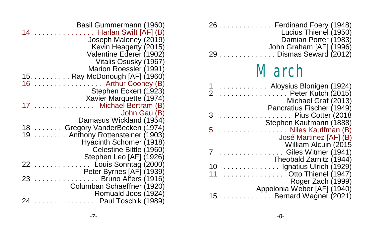| Basil Gummermann (1960)<br>. Harlan Swift [AF] (B)<br>14<br>Joseph Maloney (2019)<br>Kevin Heagerty (2015)<br>Valentine Ederer (1902)<br>Vitalis Osusky (1967) |              |
|----------------------------------------------------------------------------------------------------------------------------------------------------------------|--------------|
| Marion Roessler (1991)<br>15. Ray McDonough [AF] (1960)                                                                                                        |              |
| Arthur Cooney (B)<br>16                                                                                                                                        |              |
| Stephen Eckert (1923)                                                                                                                                          |              |
| Xavier Marquette (1974)                                                                                                                                        |              |
| Michael Bertram (B)                                                                                                                                            | John Gau (B) |
| Damasus Wickland (1954)                                                                                                                                        |              |
| 18  Gregory VanderBecken (1974)                                                                                                                                |              |
| 19<br>Anthony Rottensteiner (1903)                                                                                                                             |              |
| Hyacinth Schomer (1918)                                                                                                                                        |              |
| Celestine Bittle (1960)                                                                                                                                        |              |
| Stephen Leo [AF] (1926)<br>Louis Sonntag (2000)<br>22<br>1.1.1.1.1                                                                                             |              |
| Peter Byrnes [AF] (1939)                                                                                                                                       |              |
| $\ldots \ldots \ldots$ . Bruno Alfers (1916)<br>23                                                                                                             |              |
| Columban Schaeffner (1920)                                                                                                                                     |              |
| Romuald Joos (1924)                                                                                                                                            |              |
| Paul Toschik (1989)                                                                                                                                            |              |

|          | 26 Ferdinand Foery (1948)<br>Lucius Thienel (1950)<br>Damian Porter (1983)  |
|----------|-----------------------------------------------------------------------------|
| 29       | John Graham [AF] (1996)<br>Dismas Seward (2012)                             |
|          | March                                                                       |
|          | 1  Aloysius Blonigen (1924)<br>2  Peter Kutch (2015)<br>Michael Graf (2013) |
| 3        | Pancratius Fischer (1949)<br>Pius Cotter (2018<br>Stephen Kaufmann (1888)   |
| 5        | $\ldots \ldots \ldots$ . Niles Kauffman (B)<br>José Martinez [AF] (B)       |
|          | William Alcuin (2015<br>Giles Witmer (1941)<br>Theobald Zarnitz (1944)      |
| 10<br>11 | Ignatius Ulrich (1929)<br>Otto Thienel (1947)                               |
|          | Roger Zach (1999)<br>Appolonia Weber [AF] (1940)                            |
| 15       | . Bernard Wagner (2021)                                                     |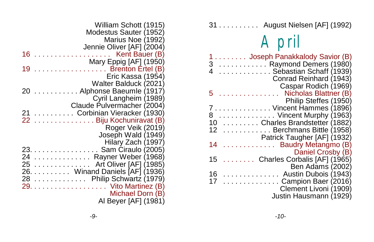| 31 August Nielsen [AF] (1992) |  |  |  |  |
|-------------------------------|--|--|--|--|
|-------------------------------|--|--|--|--|

# April

| 1 Joseph Panakkalody Savior (B)<br>3  Raymond Demers (1980)<br>. Sebastian Schaff (1939)<br>Conrad Reinhard (1943) |
|--------------------------------------------------------------------------------------------------------------------|
| Caspar Rodich (1969)                                                                                               |
| Nicholas Blattner (B)<br>5                                                                                         |
| Philip Steffes (1950)                                                                                              |
| 7Vincent Hammes (1896)                                                                                             |
| Vincent Murphy (1963)<br>8                                                                                         |
| Charles Brandstetter (1882)<br>10                                                                                  |
| 12 <sup>7</sup><br>Berchmans Bittle (1958)                                                                         |
| Patrick Taugher [AF] (1932)                                                                                        |
| 14<br><b>Baudry Metangmo (B)</b><br>.                                                                              |
| Daniel Crosby (B)                                                                                                  |
| 15<br>Charles Corbalis [AF] (1965)                                                                                 |
| Ben Adams (2002)                                                                                                   |
| 16<br>Austin Dubois (1943)                                                                                         |
| $\ldots \ldots \ldots \ldots$ Campion Baer (2016)<br>17                                                            |
| Clement Livoni (1909)                                                                                              |
| Justin Hausmann (1929)                                                                                             |
|                                                                                                                    |

|         | William Schott (1915)          |
|---------|--------------------------------|
|         | Modestus Sauter (1952)         |
|         | Marius Noe (1992)              |
|         | Jennie Oliver [AF] (2004)      |
| 16      | Kent Bauer (B)                 |
|         | Mary Eppig [AF] (1950)         |
| 19      | $\ldots$ Brenton Ertel (B)     |
|         | Eric Kassa (1954)              |
|         | Walter Balduck (2021)          |
| 20      | Alphonse Baeumle (1917)        |
|         | Cyril Langheim (1989)          |
|         | Claude Pulvermacher (2004)     |
| $21 \,$ | Corbinian Vieracker (1930)     |
|         | 22 Biju Kochuniravat (B)       |
|         | Roger Veik (2019)              |
|         | Joseph Wald (1949)             |
|         | Hilary Zach (1997)             |
|         | 23. Sam Ciraulo (2005)         |
|         | 24 Rayner Weber (1968)         |
|         | 25 Art Oliver [AF] (1985)      |
|         | 26. Winand Daniels [AF] (1936) |
|         | 28 Philip Schwartz (1979)      |
|         | 29. Vito Martinez (B)          |
|         | Michael Dorn (B)               |
|         | Al Beyer [AF] (1981)           |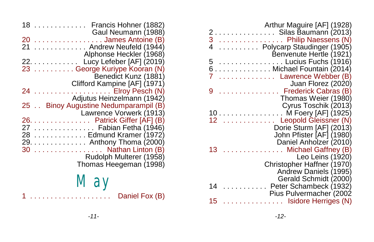| Arthur Maguire [AF] (1928)<br>. Silas Baumann (2013)<br>Philip Naessens (N)<br>3<br>Polycarp Staudinger (1905)<br>4<br>Benvenute Hertle (1921) |  |
|------------------------------------------------------------------------------------------------------------------------------------------------|--|
| . Lucius Fuchs (1916)<br>5                                                                                                                     |  |
| 6 Michael Fountain (2014)                                                                                                                      |  |
| Lawrence Webber (B)                                                                                                                            |  |
| Juan Florez (2020)                                                                                                                             |  |
| Frederick Cabras (B)<br>9                                                                                                                      |  |
| Thomas Weier (1980)<br>Cyrus Toschik (2013)                                                                                                    |  |
| M Foery [AF] (1925)<br>10<br>.                                                                                                                 |  |
| .<br>Leopold Gleissner (N)<br>12                                                                                                               |  |
| Dorie Sturm [AF] (2013)                                                                                                                        |  |
| John Pfister [AF] (1980)                                                                                                                       |  |
| Daniel Anholzer (2010)                                                                                                                         |  |
| . Michael Gaffney (B)<br>13                                                                                                                    |  |
| Leo Leins (1920)                                                                                                                               |  |
| Christopher Haffner (1970)<br>Andrew Daniels (1995)                                                                                            |  |
| Gerald Schmidt (2000)                                                                                                                          |  |
| Peter Schambeck (1932)<br>14                                                                                                                   |  |
| Pius Pulvermacher (2002                                                                                                                        |  |
| Isidore Herriges (N)<br>15                                                                                                                     |  |

| 18                    | . Francis Hohner (1882)<br>Gaul Neumann (1988)                                                                                                                                 |
|-----------------------|--------------------------------------------------------------------------------------------------------------------------------------------------------------------------------|
| 20<br>21              | . James Antoine (B)<br>$\ldots$ Andrew Neufeld (1944)                                                                                                                          |
|                       | Alphonse Heckler (1968)<br>22. Lucy Lefeber [AF] (2019)<br>23 George Kuriype Kooran (N)<br>Benedict Kunz (1881)                                                                |
| 24                    | Clifford Kampine [AF] (1971)<br>Elroy Pesch (N)<br>Adjutus Heinzelmann (1942)                                                                                                  |
|                       | 25 Binoy Augustine Nedumparampil (B)<br>Lawrence Vorwerk (1913)                                                                                                                |
| 26.<br>27<br>28<br>30 | Patrick Giffer [AF] (B)<br>. Fabian Fetha (1946)<br>Edmund Kramer (1972)<br>29. Anthony Thoma (2000)<br>Nathan Linton (B)<br>Rudolph Multerer (1958)<br>Thomas Heegeman (1998) |

### May 1 . . . . . . . . . . . . . . . . . . . Daniel Fox (B)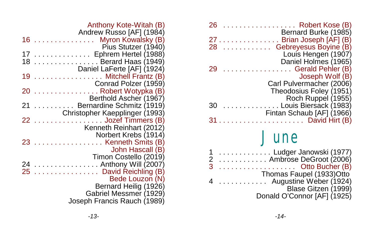| 26             | $\ldots$ Robert Kose (B)                        |
|----------------|-------------------------------------------------|
| <u>.</u><br>27 | Bernard Burke (1985)<br>. Brian Joseph [AF] (B) |
| .<br>28        | Gebreyesus Boyine (B)                           |
|                | Louis Hengen (1907)                             |
|                | Daniel Holmes (1965)                            |
| 29             | Gerald Pehler (B)                               |
|                | Joseph Wolf (B)                                 |
|                | Carl Pulvermacher (2006)                        |
|                | Theodosius Foley (1951)                         |
|                | Roch Ruppel (1955)                              |
| 30             | Louis Biersack (1983)                           |
|                | Fintan Schaub [AF] (1966)                       |
|                | . David Hirt (B)                                |
|                |                                                 |

### June

| 1 Ludger Janowski (1977)    |
|-----------------------------|
| 2  Ambrose DeGroot (2006)   |
|                             |
| Thomas Faupel (1933)Otto    |
| 4  Augustine Weber (1924)   |
| Blase Gitzen (1999)         |
| Donald O'Connor [AF] (1925) |

| Anthony Kote-Witah (B)                              |
|-----------------------------------------------------|
| Andrew Russo [AF] (1984)<br>Myron Kowalsky (B)<br>. |
| Pius Stutzer (1940)                                 |
|                                                     |
| Berard Haas (1949)                                  |
| Daniel LaFerte [AF] (1924)                          |
| Mitchell Frantz (B)                                 |
| Conrad Polzer (1959)                                |
| $\ldots \ldots \ldots$ . Robert Wotypka (B)         |
| Berthold Ascher (1967)                              |
| Bernardine Schmitz (1919)                           |
| Christopher Kaepplinger (1993)                      |
| Jozef Timmers (B)                                   |
| Kenneth Reinhart (2012)                             |
| Norbert Krebs (1914)                                |
| $\ldots \ldots$ . Kenneth Smits (B)                 |
| John Hascall (B)                                    |
| Timon Costello (2019)                               |
| Anthony Will (2007)                                 |
| David Reichling (B)                                 |
| Bede Louzon (N)                                     |
| Bernard Heilig (1926)                               |
| Gabriel Messmer (1929)                              |
| Joseph Francis Rauch (1989)                         |
|                                                     |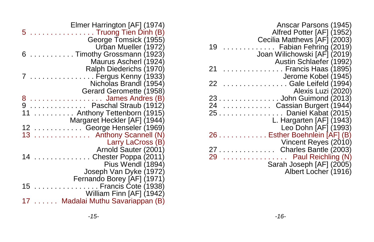| Anscar Parsons (1945)<br>Alfred Potter [AF] (1952)                                                              |
|-----------------------------------------------------------------------------------------------------------------|
| Cecilia Matthews [AF] (2003)<br>Fabian Fehring (2019)<br>19<br>Joan Wilichowski [AF] (2019)                     |
| Austin Schlaefer (1992)<br>Francis Haas (1895)<br>21<br>Jerome Kobel (1945)                                     |
| 22<br>. Gale Leifeld (1994)<br>Alexis Luzi (2020)                                                               |
| . John Guimond (2013)<br>23<br>Cassian Burgert (1944)<br>24<br>25 Daniel Kabat (2015)                           |
| L. Hargarten [AF] (1943)<br>Leo Dohn [AF] (1993)                                                                |
| 26 Esther Boehnlein [AF] (B)<br>Vincent Reyes (2010)                                                            |
| Charles Bantle (2003)<br>.<br>Paul Reichling (N)<br>29<br>.<br>Sarah Joseph [AF] (2005)<br>Albert Locher (1916) |

|     | Elmer Harrington [AF] (1974)                 |
|-----|----------------------------------------------|
| 5   | . Truong Tien Dinh (B)                       |
|     | George Tomsick (1955)                        |
|     | Urban Mueller (1972)                         |
| 6   | Timothy Grossmann (1923)                     |
|     | Maurus Ascherl (1924)                        |
|     | Ralph Diederichs (1970)                      |
|     | $\ldots \ldots \ldots$ . Fergus Kenny (1933) |
|     | Nicholas Brandl (1954)                       |
|     | Gerard Geromette (1958)                      |
| 8   | James Andres (B)                             |
|     | .   Paschal Straub (1912)                    |
|     | Anthony Tettenborn (1915)                    |
|     |                                              |
|     | Margaret Heckler [AF] (1944)                 |
|     | 12  George Henseler (1969)                   |
| 13. | Anthony Scannell (N)                         |
|     | Larry LaCross (B)                            |
|     | Arnold Sauter (2001)                         |
| 14  | . Chester Poppa (2011)                       |
|     | Pius Wendl (1894)                            |
|     | Joseph Van Dyke (1972)                       |
|     | Fernando Borey [AF] (1971)                   |
| 15  | $\ldots \ldots \ldots$ . Francis Cote (1938) |
|     | William Finn [AF] (1942)                     |
|     | Madalai Muthu Savariappan (B)                |
|     |                                              |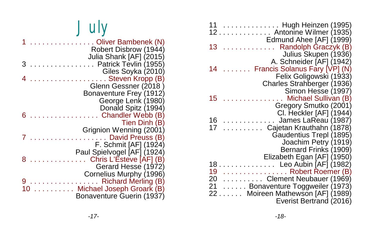| 11<br>. Hugh Heinzen (1995)<br>12 Antonine Wilmer (1935)                                                                                                    |
|-------------------------------------------------------------------------------------------------------------------------------------------------------------|
| Edmund Ahee [AF] (1999)<br>$\ldots \ldots \ldots$ Randolph Graczyk (B)<br>13<br>Julius Skupen (1936)                                                        |
| A. Schneider [AF] (1942)<br>Francis Solanus Fary [VP] (N)<br>14<br>Felix Goligowski (1933)                                                                  |
| Charles Strahberger (1936)<br>Simon Hesse (1997)<br>15                                                                                                      |
| Michael Sullivan (B)<br>Gregory Smutko (2001)<br>CI. Heckler [AF] (1944)                                                                                    |
| James LaReau (1987)<br>16<br>$\mathbb{R}^2$ . The set of the set of $\mathbb{R}^2$<br>17<br>Cajetan Krauthahn (1878)<br>.                                   |
| Gaudentius Trepl (1895)<br>Joachim Petry (1919)<br>Bernard Frinks (1909)<br>Elizabeth Egan [AF] (1950)                                                      |
| .   Leo Aubin [AF] (1982)<br>18<br>19<br>. Robert Roemer (B)<br>$\ldots \ldots \ldots$ Clement Neubauer (1969)<br>20<br>21<br>Bonaventure Toggweiler (1973) |
| 22 Moireen Mathewson [AF] (1989)<br>Everist Bertrand (2016)                                                                                                 |

| July                                             |
|--------------------------------------------------|
| Oliver Bambenek (N)<br>Robert Disbrow (1944)     |
| Julia Shank [AF] (2015)<br>Patrick Tevlin (1955) |
| Giles Soyka (2010)                               |
| . Steven Kropp (B)                               |
| Glenn Gessner (2018)<br>Bonaventure Frey (1912)  |
| George Lenk (1980)                               |
| Donald Spitz (1994)<br>Chandler Webb (B)         |
| Tien Dinh (B)                                    |
| Grignion Wenning (2001)<br>David Preuss (B)      |
| F. Schmit [AF] (1924)                            |
| Paul Spielvogel [AF] (1924)                      |
| Chris L'Esteve [AF] (B)<br>Gerard Hesse (1972)   |
| Cornelius Murphy (1996)                          |

9 . . . . . . . . . . . . . . . . . Richard Merling (B) 10 .......... Michael Joseph Groark (B)

Bonaventure Guerin (1937)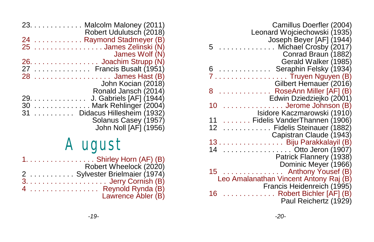| Camillus Doerfler (2004)<br>Leonard Wojciechowski (1935)          |
|-------------------------------------------------------------------|
| Joseph Beyer [AF] (1944)<br>Michael Crosby (2017)<br>5            |
| Conrad Braun (1882)<br>Gerald Walker (1985)                       |
| Seraphin Felsky (1934)                                            |
| Truyen Nguyen (B)                                                 |
| Gilbert Hemauer (2016)                                            |
| RoseAnn Miller [AF] (B)<br>8<br>Edwin Dziedziejko (2001)          |
| Jerome Johnson (B)<br>10                                          |
| Isidore Kaczmarowski (1910)<br>11<br>Fidelis VanderThannen (1906) |
| Fidelis Steinauer (1882)<br>12                                    |
| Capistran Claude (1943)                                           |
| 13. Biju Parakkalayil (B)                                         |
| Otto Jeron (1907)                                                 |
| Patrick Flannery (1938)<br>Dominic Meyer (1966)                   |
| Anthony Yousef (B)<br>15                                          |
| Leo Amalanathan Vincent Antony Raj (B)                            |
| Francis Heidenreich (1995)                                        |
| Robert Bichler [AF] (B)<br>16<br>Paul Reichertz (1929)            |
|                                                                   |

|     |   | 23. $\ldots$ . $\ldots$ . $\ldots$ . Malcolm Maloney (2011)<br>Robert Udulutsch (2018)                             |
|-----|---|--------------------------------------------------------------------------------------------------------------------|
| 25  |   | 24 Raymond Stadmeyer (B)<br>James Zelinski (N)                                                                     |
|     |   | James Wolf (N)                                                                                                     |
| 27  |   | $26. \ldots \ldots \ldots \ldots \ldots$ Joachim Strupp (N)<br>$\ldots \ldots \ldots \ldots$ Francis Busalt (1951) |
| 28  |   | . James Hast (B)<br>John Kocian (2018)                                                                             |
| 29. | . | Ronald Jansch (2014)<br>J. Gabriels [AF] (1944)                                                                    |
| 30  |   | Mark Rehlinger (2004)                                                                                              |
| 31  |   | Didacus Hillesheim (1932)<br>Solanus Casey (1957)<br>John Noll [AF] (1956)                                         |

## August

| $1. \ldots. \ldots. \ldots. \ldots$ . Shirley Horn (AF) (B) |
|-------------------------------------------------------------|
| Robert Wheelock (2020)                                      |
| 2  Sylvester Brielmaier (1974)                              |
|                                                             |
| 4  Reynold Rynda (B)                                        |
| Lawrence Abler (B)                                          |
|                                                             |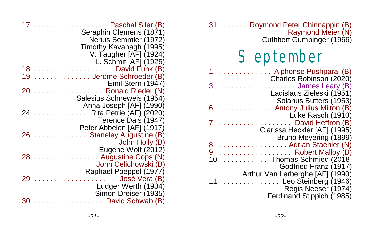| 17 | Paschal Siler (B)<br>Seraphin Clemens (1871)<br>Nerius Semmler (1972)<br>Timothy Kavanagh (1995)<br>V. Taugher [AF] (1924) |
|----|----------------------------------------------------------------------------------------------------------------------------|
| 18 | L. Schmit [AF] (1925)<br>David Funk (B)<br>.                                                                               |
| 19 | Jerome Schroeder (B)                                                                                                       |
|    | Emil Stern (1947)                                                                                                          |
| 20 | Ronald Rieder (N)                                                                                                          |
|    | Salesius Schneweis (1954)                                                                                                  |
|    | Anna Joseph [AF] (1990)                                                                                                    |
| 24 | Rita Petrie (AF) (2020)                                                                                                    |
|    | Terence Dais (1947)                                                                                                        |
|    | Peter Abbelen [AF] (1917)                                                                                                  |
| 26 | <b>Staneley Augustine (B)</b>                                                                                              |
|    | John Holly (B)                                                                                                             |
|    | Eugene Wolf (2012)                                                                                                         |
| 28 | . Augustine Cops (N)                                                                                                       |
|    | John Celichowski (B)                                                                                                       |
|    | Raphael Poeppel (1977)                                                                                                     |
| 29 | José Vera (B)<br>and a contract                                                                                            |
|    | Ludger Werth (1934)                                                                                                        |
| 30 | Simon Dreiser (1935)<br>David Schwab (B)                                                                                   |
|    | <b>College</b>                                                                                                             |

| 31 Roymond Peter Chinnappin (B)<br>Raymond Meier (N)<br>Cuthbert Gumbinger (1966)                                            |
|------------------------------------------------------------------------------------------------------------------------------|
| <b>September</b>                                                                                                             |
| Alphonse Pushparaj (B)<br>Charles Robinson (2020)                                                                            |
| James Leary (B)<br>Ladislaus Zieleski (1951)                                                                                 |
| Solanus Butters (1953)<br>6<br>Antony Julius Milton (B)                                                                      |
| Luke Rasch (1910)<br>$\ldots \ldots$ David Heffron (B)<br>Clarissa Heckler [AF] (1995)                                       |
| Bruno Meyering (1899)<br>8. Adrian Staehler (N)<br>9  Robert Malloy (B)<br>10 Thomas Schmied (2018)<br>Godfried Franz (1917) |
| Arthur Van Lerberghe [AF] (1990)<br>11<br>. Leo Steinberg (1946)<br>Regis Neeser (1974)<br>Ferdinand Stippich (1985)         |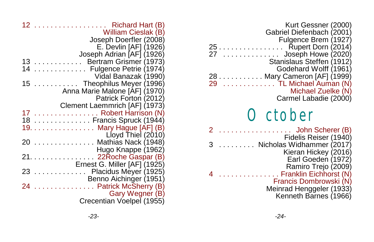| 12<br>. Richard Hart (B)<br>William Cieslak (B)    |
|----------------------------------------------------|
| Joseph Doerfler (2008)                             |
| E. Devlin [AF] (1926)<br>Joseph Adrian [AF] (1926) |
| Bertram Grismer (1973)<br>13 <sup>7</sup>          |
| 14<br>Fulgence Petrie (1974)                       |
| Vidal Banazak (1990)                               |
| 15  Theophilus Meyer (1996)                        |
| Anna Marie Malone [AF] (1970)                      |
| Patrick Forton (2012)                              |
| Clement Laemmrich [AF] (1973)                      |
| 17  Robert Harrison (N)                            |
| 18  Francis Spruck (1944)                          |
| 19. Mary Hague [AF] (B)                            |
| Lloyd Thiel (2010)                                 |
| Mathias Nack (1948)<br>20                          |
| Hugo Knappe (1962)                                 |
| 22Roche Gaspar (B)<br>21.                          |
| Ernest G. Miller [AF] (1925)                       |
| Placidus Meyer (1925)<br>23<br><u>.</u> .          |
| Benno Aichinger (1951)                             |
| Patrick McSherry (B)<br>24                         |
| Gary Wegner (B)                                    |
| Crecentian Voelpel (1955)                          |

| Kurt Gessner (2000)<br>Gabriel Diefenbach (2001)<br>Fulgence Brem (1927)<br>$\ldots \ldots \ldots$ Rupert Dorn (2014)<br>Stanislaus Steffen (1912)<br>Godehard Wolff (1961)<br>28 Mary Cameron [AF] (1999)<br>29   TL Michael Auman (N)<br>$\ldots \ldots \ldots$ TL Michael Auman (N)<br>Michael Zuelke (N)<br>Carmel Labadie (2000) |
|---------------------------------------------------------------------------------------------------------------------------------------------------------------------------------------------------------------------------------------------------------------------------------------------------------------------------------------|
| October                                                                                                                                                                                                                                                                                                                               |
| $\ldots \ldots$ John Scherer (B)<br>Fidelis Reiser (1940)<br>Nicholas Widhammer (2017)<br>Kieran Hickey (2016)<br>Earl Goeden (1972)<br>Ramiro Trejo (2009)                                                                                                                                                                           |
| Franklin Eichhorst (N)<br>Francis Dombrowski (N)<br>Meinrad Henggeler (1933)<br>Kenneth Barnes (1966)                                                                                                                                                                                                                                 |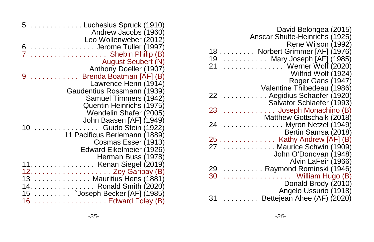| David Belongea (2015)                                |
|------------------------------------------------------|
| Anscar Shulte-Heinrichs (1925)                       |
| Rene Wilson (1992)                                   |
| Norbert Grimmer [AF] (1976)<br>18                    |
| 19<br>$\ldots \ldots \ldots$ Mary Joseph [AF] (1985) |
| 21<br>Werner Wolf (2020)                             |
| Wilfrid Wolf (1924)                                  |
| Roger Gans (1947)                                    |
| Valentine Thibedeau (1986)                           |
| Aegidius Schaefer (1920)<br>22                       |
| Salvator Schlaefer (1993)                            |
| Joseph Monachino (B)<br>23                           |
| Matthew Gottschalk (2018)                            |
| $\ldots \ldots \ldots$ . Myron Netzel (1949)<br>24   |
| Bertin Samsa (2018)                                  |
| $25$ Kathy Andrew [AF] (B)                           |
| Maurice Schwin (1909)<br>27                          |
| John O'Donovan (1948)                                |
| Alvin LaFeir (1966)                                  |
| 29<br>. Raymond Rominski (1946)                      |
| William Hugo (B)<br>30<br>.                          |
| Donald Brody (2010)                                  |
| Angelo Ussurio (1918)                                |
| $\ldots \ldots$ Bettejean Ahee (AF) (2020)<br>31     |

| Luchesius Spruck (1910)                                         |
|-----------------------------------------------------------------|
| Andrew Jacobs (1960)                                            |
| Leo Wollenweber (2012)                                          |
| Jerome Tuller (1997)                                            |
| Shebin Philip (B)                                               |
| <b>August Seubert (N)</b>                                       |
| Anthony Doeller (1907)                                          |
| Brenda Boatman [AF] (B)                                         |
| Lawrence Henn (1914)                                            |
| Gaudentius Rossmann (1939)                                      |
| Samuel Timmers (1942)                                           |
| Quentin Heinrichs (1975)                                        |
| Wendelin Shafer (2005)                                          |
| John Baasen [AF] (1949)                                         |
| Guido Stein (1922)                                              |
| 11 Pacificus Berlemann (1889)                                   |
| Cosmas Esser (1913)                                             |
|                                                                 |
| Edward Eikelmeier (1926)                                        |
| Herman Buss (1978)                                              |
| 11. Kenan Siegel (2019)                                         |
| $12. \ldots \ldots \ldots \ldots \ldots \ldots$ Zoy Garibay (B) |
| 13  Mauritius Hens (1881)                                       |
| 14. Ronald Smith (2020)                                         |
| 15 ` Joseph Becker [AF] (1985)                                  |
| . Edward Foley (B)                                              |
|                                                                 |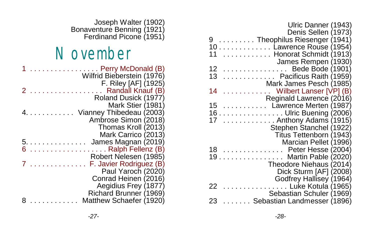| Ulric Danner (1943)                           |
|-----------------------------------------------|
| Denis Sellen (1973)                           |
| Theophilus Riesenger (1941)<br>9.             |
| 10 Lawrence Rouse (1954)                      |
| . Honorat Schmidt (1913)<br>11                |
| James Rempen (1930)                           |
| 12<br>$\ldots \ldots \ldots$ Bede Bode (1901) |
| 13<br>Pacificus Raith (1959)                  |
| Mark James Pesch (1985)                       |
| 14<br>Wilbert Lanser [VP] (B)                 |
| Reginald Lawrence (2016)                      |
| 15<br>Lawrence Merten (1987)                  |
| . Ulric Buening (2006)<br>16.                 |
| Anthony Adams (1915)<br>17                    |
| Stephen Stanchel (1922)                       |
| Titus Tettenborn (1943)                       |
| Marcian Pellet (1996)                         |
| .<br>Peter Hesse (2004)<br>18                 |
| Martin Pable (2020)<br>19<br>.                |
| Theodore Niehaus (2014)                       |
|                                               |
| Dick Sturm [AF] (2008)                        |
| Godfrey Hallisey (1964)                       |
| . Luke Kotula (1965)<br>22                    |
| Sebastian Schuler (1969)                      |
| Sebastian Landmesser (1896)<br>23             |

Joseph Walter (1902) Bonaventure Benning (1921) Ferdinand Picone (1951)

## **November**

|  |  |  |    | .<br>Perry McDonald (B)<br>Wilfrid Bieberstein (1976) |
|--|--|--|----|-------------------------------------------------------|
|  |  |  |    | F. Riley [AF] (1925)                                  |
|  |  |  |    | Randall Knauf (B)                                     |
|  |  |  |    |                                                       |
|  |  |  |    | Roland Dusick (1977)                                  |
|  |  |  |    | Mark Stier (1981)                                     |
|  |  |  | 4. | Vianney Thibedeau (2003)                              |
|  |  |  |    | Ambrose Simon (2018)                                  |
|  |  |  |    | Thomas Kroll (2013)                                   |
|  |  |  |    | Mark Carrico (2013)                                   |
|  |  |  |    | 5.<br>James Magnan (2019)                             |
|  |  |  |    |                                                       |
|  |  |  |    | Ralph Fellenz (B)                                     |
|  |  |  |    | Robert Nelesen (1985)                                 |
|  |  |  |    | F. Javier Rodriguez (B)                               |
|  |  |  |    | Paul Yaroch (2020)                                    |
|  |  |  |    | Conrad Heinen (2016)                                  |
|  |  |  |    | Aegidius Frey (1877)                                  |
|  |  |  |    | Richard Brunner (1969)                                |
|  |  |  |    |                                                       |
|  |  |  |    | Matthew Schaefer (1920)                               |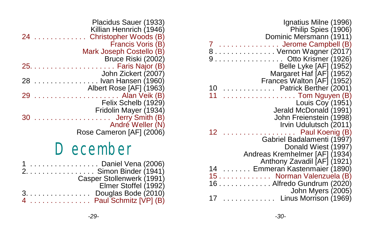| Ignatius Milne (1996)                      |
|--------------------------------------------|
| Philip Spies (1906)                        |
| Dominic Mersmann (1911)                    |
| Jerome Campbell (B)                        |
| 8 Vernon Wagner (2017)                     |
| . Otto Krismer (1926)                      |
| Belle Lyke [AF] (1952)                     |
| Margaret Haf [AF] (1952)                   |
| Frances Walton [AF] (1952)                 |
| 10<br>Patrick Berther (2001)               |
| 11<br>$\ldots$ Tom Nguyen (B)              |
| Louis Coy (1951)                           |
| Jerald McDonald (1991)                     |
| John Freienstein (1998)                    |
| Irvin Udulutsch (2011)                     |
| Paul Koenig (B)<br>12<br>and a contract of |
| Gabriel Badalamenti (1997)                 |
| Donald Wiest (1997)                        |
| Andreas Kremhelmer [AF] (1934)             |
| Anthony Zavadil [AF] (1921)                |
| . Emmeran Kastenmaier (1890)<br>14         |
| Norman Valenzuela (B)<br>15                |
| Alfredo Gundrum (2020)<br>16               |
| John Myers (2005)                          |
| Linus Morrison (1969)                      |

| Francis Voris (B)        |
|--------------------------|
| Mark Joseph Costello (B) |
| Bruce Riski (2002)       |
|                          |
| John Zickert (2007)      |
| Ivan Hansen (1960)<br>28 |
| Albert Rose [AF] (1963)  |
| 29<br>Alan Veik (B)      |
| Felix Schelb (1929)      |
| Fridolin Mayer (1934)    |
| Jerry Smith (B)          |
| André Weller (N)         |
| Rose Cameron [AF] (2006) |

## December

| 1 Daniel Vena (2006)                                 |
|------------------------------------------------------|
| 2. Simon Binder (1941)                               |
| Casper Stollenwerk (1991)                            |
| Elmer Stoffel (1992)                                 |
| $3. \ldots \ldots \ldots \ldots$ Douglas Bode (2010) |
| 4 Paul Schmitz [VP] (B)                              |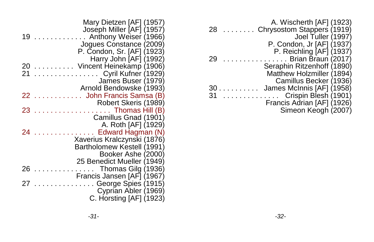| A. Wischerth [AF] (1923)<br>Chrysostom Stappers (1919)<br>28<br>Joel Tuller (1997) |  |
|------------------------------------------------------------------------------------|--|
| P. Condon, Jr [AF] (1937)                                                          |  |
| P. Reichling [AF] (1937)                                                           |  |
| Brian Braun (2017)<br>29                                                           |  |
| Seraphin Ritzenhoff (1890)                                                         |  |
| Matthew Holzmiller (1894)                                                          |  |
| Camillus Becker (1936)                                                             |  |
| James McInnis [AF] (1958)<br>30                                                    |  |
| 31<br>Crispin Blesh (1901)                                                         |  |
| Francis Adrian [AF] (1926)                                                         |  |
| Simeon Keogh (2007)                                                                |  |

|    | Mary Dietzen [AF] (1957)    |
|----|-----------------------------|
|    | Joseph Miller [AF] (1957)   |
| 19 | Anthony Weiser (1966)       |
|    | Jogues Constance (2009)     |
|    | P. Condon, Sr. [AF] (1923)  |
|    | Harry John [AF] (1992)      |
| 20 | Vincent Heinekamp (1906)    |
| 21 | .   Cyril Kufner (1929)     |
|    | James Buser (1979)          |
|    |                             |
|    | Arnold Bendowske (1993)     |
| 22 | John Francis Samsa (B)      |
|    | Robert Skeris (1989)        |
| 23 | . Thomas Hill (B)           |
|    | Camillus Gnad (1901)        |
|    | A. Roth [AF] (1929)         |
| 24 | Edward Hagman (N)           |
|    | Xaverius Kralczynski (1876) |
|    | Bartholomew Kestell (1991)  |
|    | Booker Ashe (2000)          |
|    | 25 Benedict Mueller (1949)  |
| 26 | Thomas Gilg (1936)          |
|    | Francis Jansen [AF] (1967)  |
| 27 | George Spies (1915)         |
|    | Cyprian Abler (1969)        |
|    | C. Horsting [AF] (1923)     |
|    |                             |